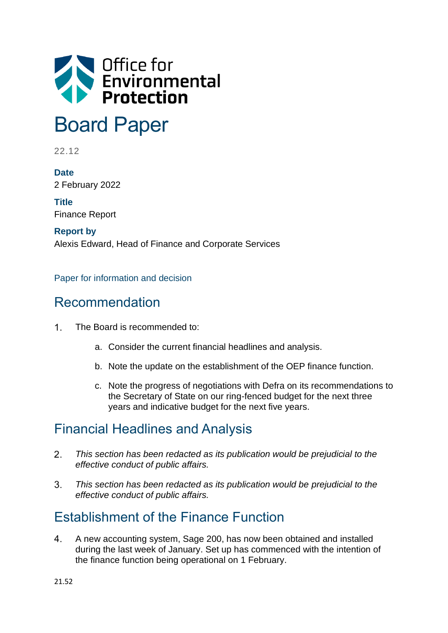

# Board Paper

22.12

**Date** 2 February 2022

**Title** Finance Report

**Report by** Alexis Edward, Head of Finance and Corporate Services

Paper for information and decision

## Recommendation

- $1<sup>1</sup>$ The Board is recommended to:
	- a. Consider the current financial headlines and analysis.
	- b. Note the update on the establishment of the OEP finance function.
	- c. Note the progress of negotiations with Defra on its recommendations to the Secretary of State on our ring-fenced budget for the next three years and indicative budget for the next five years.

# Financial Headlines and Analysis

- $\mathcal{P}$ *This section has been redacted as its publication would be prejudicial to the effective conduct of public affairs.*
- $3<sup>1</sup>$ *This section has been redacted as its publication would be prejudicial to the effective conduct of public affairs.*

# Establishment of the Finance Function

 $\overline{4}$ . A new accounting system, Sage 200, has now been obtained and installed during the last week of January. Set up has commenced with the intention of the finance function being operational on 1 February.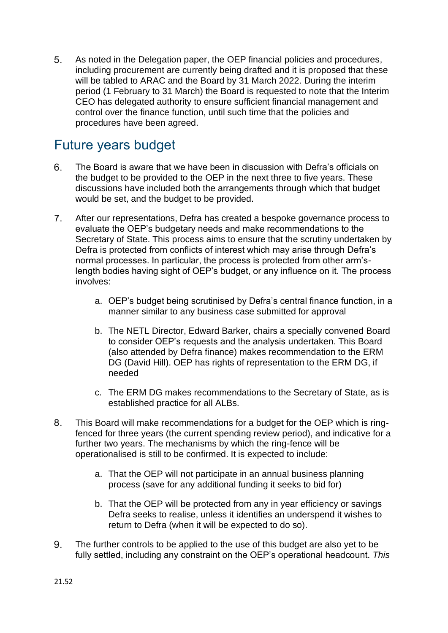As noted in the Delegation paper, the OEP financial policies and procedures,  $5<sub>1</sub>$ including procurement are currently being drafted and it is proposed that these will be tabled to ARAC and the Board by 31 March 2022. During the interim period (1 February to 31 March) the Board is requested to note that the Interim CEO has delegated authority to ensure sufficient financial management and control over the finance function, until such time that the policies and procedures have been agreed.

# Future years budget

- 6. The Board is aware that we have been in discussion with Defra's officials on the budget to be provided to the OEP in the next three to five years. These discussions have included both the arrangements through which that budget would be set, and the budget to be provided.
- $7.$ After our representations, Defra has created a bespoke governance process to evaluate the OEP's budgetary needs and make recommendations to the Secretary of State. This process aims to ensure that the scrutiny undertaken by Defra is protected from conflicts of interest which may arise through Defra's normal processes. In particular, the process is protected from other arm'slength bodies having sight of OEP's budget, or any influence on it. The process involves:
	- a. OEP's budget being scrutinised by Defra's central finance function, in a manner similar to any business case submitted for approval
	- b. The NETL Director, Edward Barker, chairs a specially convened Board to consider OEP's requests and the analysis undertaken. This Board (also attended by Defra finance) makes recommendation to the ERM DG (David Hill). OEP has rights of representation to the ERM DG, if needed
	- c. The ERM DG makes recommendations to the Secretary of State, as is established practice for all ALBs.
- 8. This Board will make recommendations for a budget for the OEP which is ringfenced for three years (the current spending review period), and indicative for a further two years. The mechanisms by which the ring-fence will be operationalised is still to be confirmed. It is expected to include:
	- a. That the OEP will not participate in an annual business planning process (save for any additional funding it seeks to bid for)
	- b. That the OEP will be protected from any in year efficiency or savings Defra seeks to realise, unless it identifies an underspend it wishes to return to Defra (when it will be expected to do so).
- 9. The further controls to be applied to the use of this budget are also yet to be fully settled, including any constraint on the OEP's operational headcount. *This*